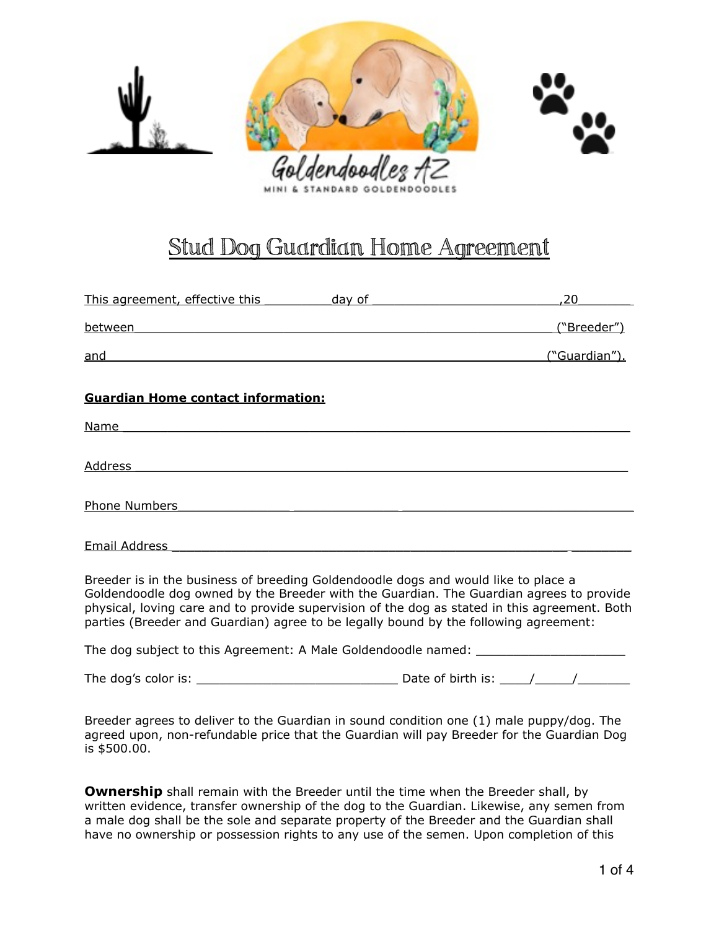

# Stud Dog Guardian Home Agreement

| This agreement, effective this ____________ day of ______________________________                                                                                                                                                                                                                                                                                      | 20            |
|------------------------------------------------------------------------------------------------------------------------------------------------------------------------------------------------------------------------------------------------------------------------------------------------------------------------------------------------------------------------|---------------|
| between the contract of the contract of the contract of the contract of the contract of the contract of the contract of the contract of the contract of the contract of the contract of the contract of the contract of the co                                                                                                                                         | ("Breeder")   |
| and and the contract of the contract of the contract of the contract of the contract of the contract of the contract of the contract of the contract of the contract of the contract of the contract of the contract of the co                                                                                                                                         | ("Guardian"). |
| <b>Guardian Home contact information:</b>                                                                                                                                                                                                                                                                                                                              |               |
| Name and the state of the state of the state of the state of the state of the state of the state of the state of the state of the state of the state of the state of the state of the state of the state of the state of the s                                                                                                                                         |               |
| Address and the contract of the contract of the contract of the contract of the contract of the contract of the contract of the contract of the contract of the contract of the contract of the contract of the contract of th                                                                                                                                         |               |
| Phone Numbers <b>Phone Numbers</b>                                                                                                                                                                                                                                                                                                                                     |               |
| Email Address                                                                                                                                                                                                                                                                                                                                                          |               |
| Breeder is in the business of breeding Goldendoodle dogs and would like to place a<br>Goldendoodle dog owned by the Breeder with the Guardian. The Guardian agrees to provide<br>physical, loving care and to provide supervision of the dog as stated in this agreement. Both<br>parties (Breeder and Guardian) agree to be legally bound by the following agreement: |               |
| The dog subject to this Agreement: A Male Goldendoodle named: __________________                                                                                                                                                                                                                                                                                       |               |
|                                                                                                                                                                                                                                                                                                                                                                        |               |
| Breeder agrees to deliver to the Guardian in sound condition one (1) male puppy/dog. The<br>agreed upon, non-refundable price that the Guardian will pay Breeder for the Guardian Dog<br>is \$500.00.                                                                                                                                                                  |               |

**Ownership** shall remain with the Breeder until the time when the Breeder shall, by written evidence, transfer ownership of the dog to the Guardian. Likewise, any semen from a male dog shall be the sole and separate property of the Breeder and the Guardian shall have no ownership or possession rights to any use of the semen. Upon completion of this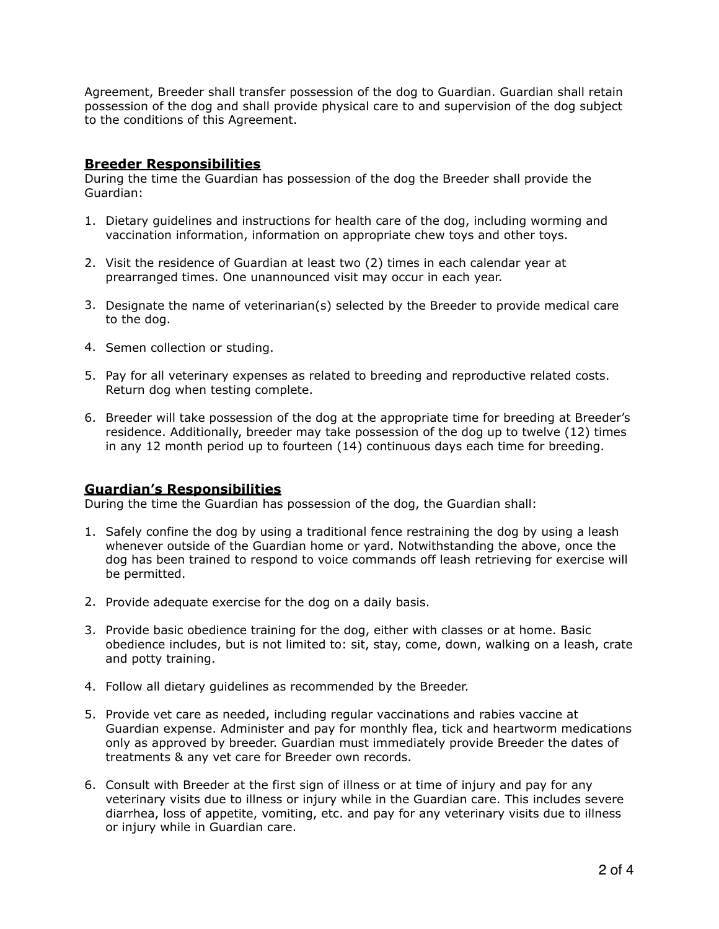Agreement, Breeder shall transfer possession of the dog to Guardian. Guardian shall retain possession of the dog and shall provide physical care to and supervision of the dog subject to the conditions of this Agreement.

## **Breeder Responsibilities**

During the time the Guardian has possession of the dog the Breeder shall provide the Guardian:

- 1. Dietary guidelines and instructions for health care of the dog, including worming and vaccination information, information on appropriate chew toys and other toys.
- 2. Visit the residence of Guardian at least two (2) times in each calendar year at prearranged times. One unannounced visit may occur in each year.
- 3. Designate the name of veterinarian(s) selected by the Breeder to provide medical care to the dog.
- 4. Semen collection or studing.
- 5. Pay for all veterinary expenses as related to breeding and reproductive related costs. Return dog when testing complete.
- 6. Breeder will take possession of the dog at the appropriate time for breeding at Breeder's residence. Additionally, breeder may take possession of the dog up to twelve (12) times in any 12 month period up to fourteen (14) continuous days each time for breeding.

## **Guardian's Responsibilities**

During the time the Guardian has possession of the dog, the Guardian shall:

- 1. Safely confine the dog by using a traditional fence restraining the dog by using a leash whenever outside of the Guardian home or yard. Notwithstanding the above, once the dog has been trained to respond to voice commands off leash retrieving for exercise will be permitted.
- 2. Provide adequate exercise for the dog on a daily basis.
- 3. Provide basic obedience training for the dog, either with classes or at home. Basic obedience includes, but is not limited to: sit, stay, come, down, walking on a leash, crate and potty training.
- 4. Follow all dietary guidelines as recommended by the Breeder.
- 5. Provide vet care as needed, including regular vaccinations and rabies vaccine at Guardian expense. Administer and pay for monthly flea, tick and heartworm medications only as approved by breeder. Guardian must immediately provide Breeder the dates of treatments & any vet care for Breeder own records.
- 6. Consult with Breeder at the first sign of illness or at time of injury and pay for any veterinary visits due to illness or injury while in the Guardian care. This includes severe diarrhea, loss of appetite, vomiting, etc. and pay for any veterinary visits due to illness or injury while in Guardian care.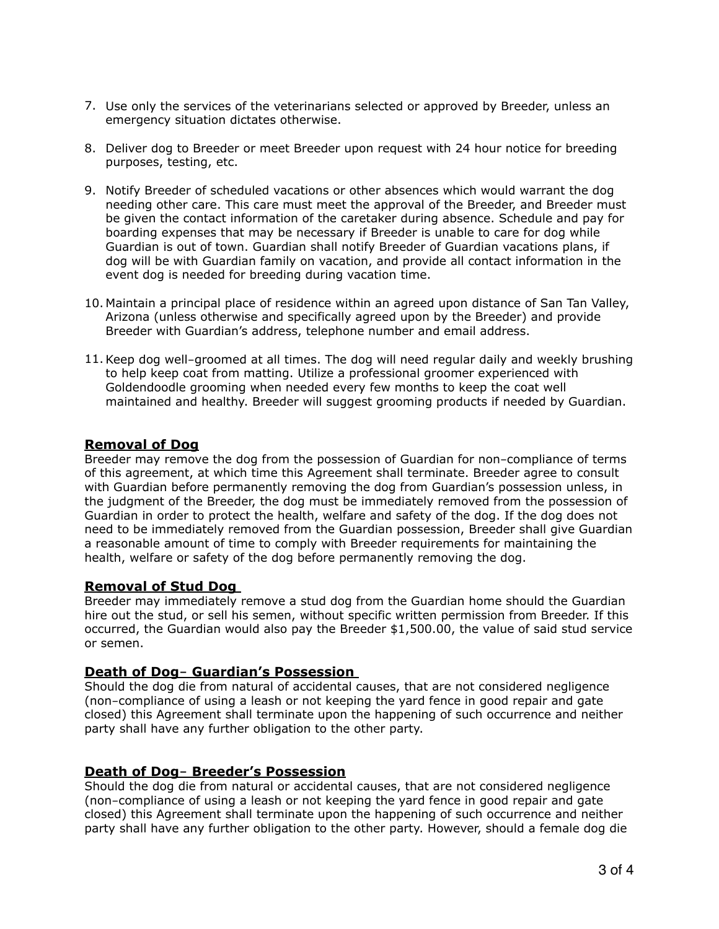- 7. Use only the services of the veterinarians selected or approved by Breeder, unless an emergency situation dictates otherwise.
- 8. Deliver dog to Breeder or meet Breeder upon request with 24 hour notice for breeding purposes, testing, etc.
- 9. Notify Breeder of scheduled vacations or other absences which would warrant the dog needing other care. This care must meet the approval of the Breeder, and Breeder must be given the contact information of the caretaker during absence. Schedule and pay for boarding expenses that may be necessary if Breeder is unable to care for dog while Guardian is out of town. Guardian shall notify Breeder of Guardian vacations plans, if dog will be with Guardian family on vacation, and provide all contact information in the event dog is needed for breeding during vacation time.
- 10. Maintain a principal place of residence within an agreed upon distance of San Tan Valley, Arizona (unless otherwise and specifically agreed upon by the Breeder) and provide Breeder with Guardian's address, telephone number and email address.
- 11.Keep dog well-groomed at all times. The dog will need regular daily and weekly brushing to help keep coat from matting. Utilize a professional groomer experienced with Goldendoodle grooming when needed every few months to keep the coat well maintained and healthy. Breeder will suggest grooming products if needed by Guardian.

## **Removal of Dog**

Breeder may remove the dog from the possession of Guardian for non-compliance of terms of this agreement, at which time this Agreement shall terminate. Breeder agree to consult with Guardian before permanently removing the dog from Guardian's possession unless, in the judgment of the Breeder, the dog must be immediately removed from the possession of Guardian in order to protect the health, welfare and safety of the dog. If the dog does not need to be immediately removed from the Guardian possession, Breeder shall give Guardian a reasonable amount of time to comply with Breeder requirements for maintaining the health, welfare or safety of the dog before permanently removing the dog.

## **Removal of Stud Dog**

Breeder may immediately remove a stud dog from the Guardian home should the Guardian hire out the stud, or sell his semen, without specific written permission from Breeder. If this occurred, the Guardian would also pay the Breeder \$1,500.00, the value of said stud service or semen.

## **Death of Dog- Guardian's Possession**

Should the dog die from natural of accidental causes, that are not considered negligence (non-compliance of using a leash or not keeping the yard fence in good repair and gate closed) this Agreement shall terminate upon the happening of such occurrence and neither party shall have any further obligation to the other party.

## **Death of Dog- Breeder's Possession**

Should the dog die from natural or accidental causes, that are not considered negligence (non-compliance of using a leash or not keeping the yard fence in good repair and gate closed) this Agreement shall terminate upon the happening of such occurrence and neither party shall have any further obligation to the other party. However, should a female dog die